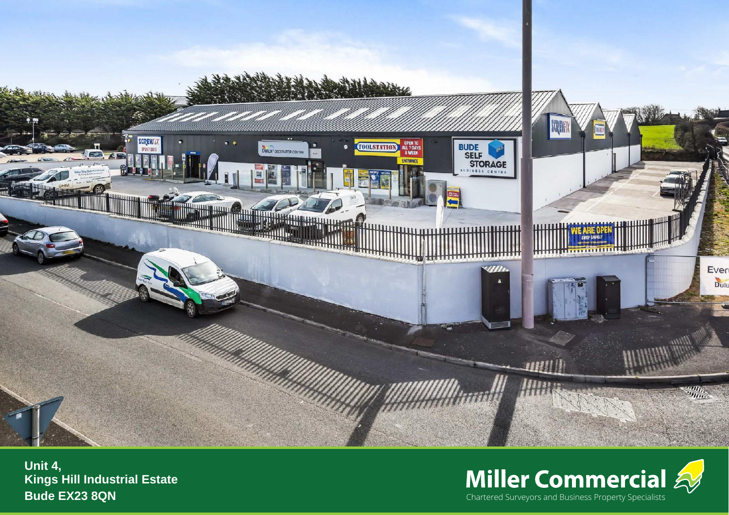

**Kings Hill Industrial Estate Bude EX23 8QN** 

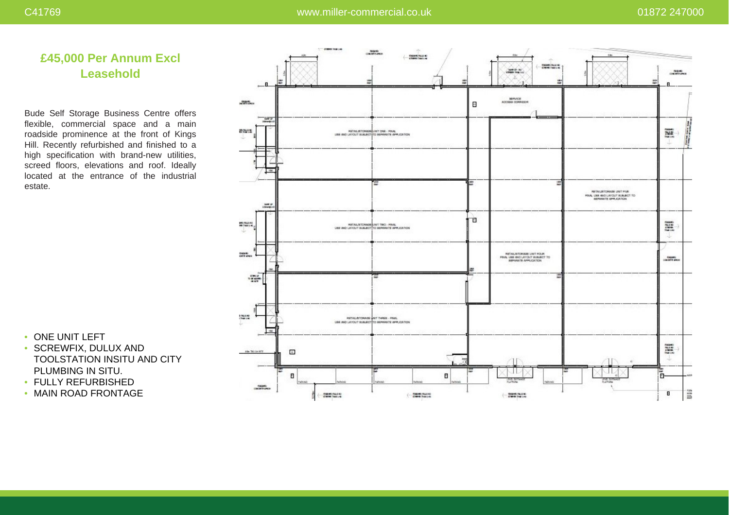# **£45,000 Per Annum Excl Leasehold**

Bude Self Storage Business Centre offers flexible, commercial space and a main roadside prominence at the front of Kings Hill. Recently refurbished and finished to a high specification with brand-new utilities, screed floors, elevations and roof. Ideally located at the entrance of the industrial estate.

- ONE UNIT LEFT
- SCREWFIX, DULUX AND TOOLSTATION INSITU AND CITY PLUMBING IN SITU.
- FULLY REFURBISHED
- MAIN ROAD FRONTAGE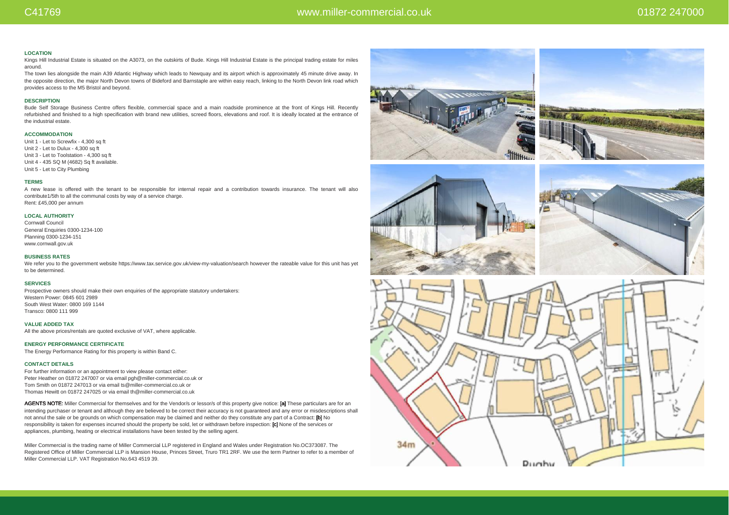### **LOCATION**

Kings Hill Industrial Estate is situated on the A3073, on the outskirts of Bude. Kings Hill Industrial Estate is the principal trading estate for miles around.

The town lies alongside the main A39 Atlantic Highway which leads to Newquay and its airport which is approximately 45 minute drive away. In the opposite direction, the major North Devon towns of Bideford and Barnstaple are within easy reach, linking to the North Devon link road which provides access to the M5 Bristol and beyond.

#### **DESCRIPTION**

Bude Self Storage Business Centre offers flexible, commercial space and a main roadside prominence at the front of Kings Hill. Recently refurbished and finished to a high specification with brand new utilities, screed floors, elevations and roof. It is ideally located at the entrance of the industrial estate.

### **ACCOMMODATION**

Unit 1 - Let to Screwfix -  $4,300$  sq ft Unit 2 - Let to Dulux - 4,300 sq ft Unit 3 - Let to Toolstation - 4,300 sq ft Unit 4 - 435 SQ M (4682) Sq ft available. Unit 5 - Let to City Plumbing

# **TERMS**

A new lease is offered with the tenant to be responsible for internal repair and a contribution towards insurance. The tenant will also contribute1/5th to all the communal costs by way of a service charge. Rent: £45,000 per annum

### **LOCAL AUTHORITY**

Cornwall Council General Enquiries 0300-1234-100 Planning 0300-1234-151 www.cornwall.gov.uk

#### **BUSINESS RATES**

We refer you to the government website https://www.tax.service.gov.uk/view-my-valuation/search however the rateable value for this unit has yet to be determined.

## **SERVICES**

Prospective owners should make their own enquiries of the appropriate statutory undertakers: Western Power: 0845 601 2989 South West Water: 0800 169 1144 Transco: 0800 111 999

**VALUE ADDED TAX**

All the above prices/rentals are quoted exclusive of VAT, where applicable.

# **ENERGY PERFORMANCE CERTIFICATE**

The Energy Performance Rating for this property is within Band C.

## **CONTACT DETAILS**

For further information or an appointment to view please contact either: Peter Heather on 01872 247007 or via email pgh@miller-commercial.co.uk or Tom Smith on 01872 247013 or via email ts@miller-commercial.co.uk or Thomas Hewitt on 01872 247025 or via email th@miller-commercial.co.uk

AGENTS NOTE: Miller Commercial for themselves and for the Vendor/s or lessor/s of this property give notice: [a] These particulars are for an intending purchaser or tenant and although they are believed to be correct their accuracy is not guaranteed and any error or misdescriptions shall not annul the sale or be grounds on which compensation may be claimed and neither do they constitute any part of a Contract: [b] No responsibility is taken for expenses incurred should the property be sold, let or withdrawn before inspection: [c] None of the services or appliances, plumbing, heating or electrical installations have been tested by the selling agent.

Miller Commercial is the trading name of Miller Commercial LLP registered in England and Wales under Registration No.OC373087. The Registered Office of Miller Commercial LLP is Mansion House, Princes Street, Truro TR1 2RF. We use the term Partner to refer to a member of Miller Commercial LLP. VAT Registration No.643 4519 39.